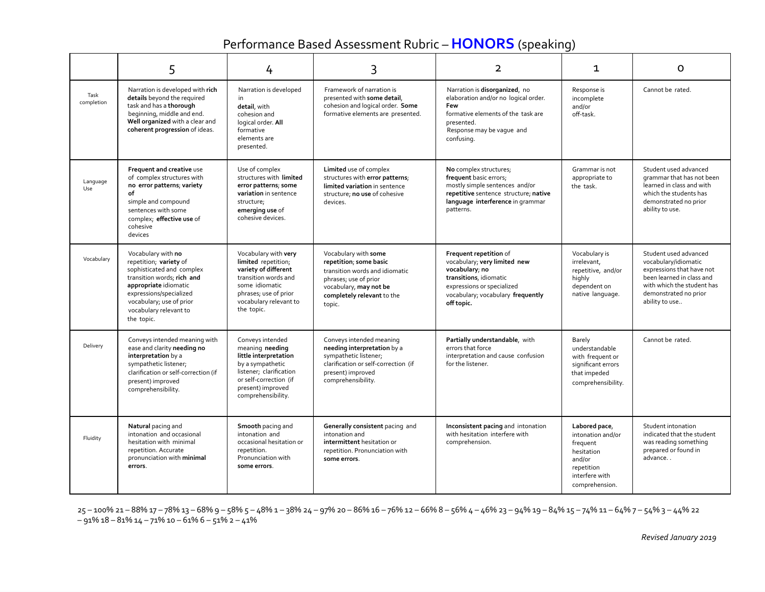## Performance Based Assessment Rubric –**HONORS** (speaking)

|                    | 5                                                                                                                                                                                                                               | 4                                                                                                                                                                                | 3                                                                                                                                                                           | $\overline{2}$                                                                                                                                                                      | 1                                                                                                                        | O                                                                                                                                                                                |
|--------------------|---------------------------------------------------------------------------------------------------------------------------------------------------------------------------------------------------------------------------------|----------------------------------------------------------------------------------------------------------------------------------------------------------------------------------|-----------------------------------------------------------------------------------------------------------------------------------------------------------------------------|-------------------------------------------------------------------------------------------------------------------------------------------------------------------------------------|--------------------------------------------------------------------------------------------------------------------------|----------------------------------------------------------------------------------------------------------------------------------------------------------------------------------|
| Task<br>completion | Narration is developed with rich<br>details beyond the required<br>task and has a thorough<br>beginning, middle and end.<br>Well organized with a clear and<br>coherent progression of ideas.                                   | Narration is developed<br>in<br>detail, with<br>cohesion and<br>logical order. All<br>formative<br>elements are<br>presented.                                                    | Framework of narration is<br>presented with some detail,<br>cohesion and logical order. Some<br>formative elements are presented.                                           | Narration is disorganized, no<br>elaboration and/or no logical order.<br>Few<br>formative elements of the task are<br>presented.<br>Response may be vague and<br>confusing.         | Response is<br>incomplete<br>and/or<br>off-task.                                                                         | Cannot be rated.                                                                                                                                                                 |
| Language<br>Use    | Frequent and creative use<br>of complex structures with<br>no error patterns; variety<br>of<br>simple and compound<br>sentences with some<br>complex; effective use of<br>cohesive<br>devices                                   | Use of complex<br>structures with limited<br>error patterns; some<br>variation in sentence<br>structure;<br>emerging use of<br>cohesive devices.                                 | Limited use of complex<br>structures with error patterns;<br>limited variation in sentence<br>structure; no use of cohesive<br>devices.                                     | No complex structures;<br>frequent basic errors;<br>mostly simple sentences and/or<br>repetitive sentence structure; native<br>language interference in grammar<br>patterns.        | Grammar is not<br>appropriate to<br>the task.                                                                            | Student used advanced<br>grammar that has not been<br>learned in class and with<br>which the students has<br>demonstrated no prior<br>ability to use.                            |
| Vocabulary         | Vocabulary with no<br>repetition; variety of<br>sophisticated and complex<br>transition words; rich and<br>appropriate idiomatic<br>expressions/specialized<br>vocabulary; use of prior<br>vocabulary relevant to<br>the topic. | Vocabulary with very<br>limited repetition;<br>variety of different<br>transition words and<br>some idiomatic<br>phrases; use of prior<br>vocabulary relevant to<br>the topic.   | Vocabulary with some<br>repetition; some basic<br>transition words and idiomatic<br>phrases; use of prior<br>vocabulary, may not be<br>completely relevant to the<br>topic. | Frequent repetition of<br>vocabulary; very limited new<br>vocabulary; no<br>transitions, idiomatic<br>expressions or specialized<br>vocabulary; vocabulary frequently<br>off topic. | Vocabulary is<br>irrelevant.<br>repetitive, and/or<br>highly<br>dependent on<br>native language.                         | Student used advanced<br>vocabulary/idiomatic<br>expressions that have not<br>been learned in class and<br>with which the student has<br>demonstrated no prior<br>ability to use |
| Delivery           | Conveys intended meaning with<br>ease and clarity needing no<br>interpretation by a<br>sympathetic listener;<br>clarification or self-correction (if<br>present) improved<br>comprehensibility.                                 | Conveys intended<br>meaning needing<br>little interpretation<br>by a sympathetic<br>listener; clarification<br>or self-correction (if<br>present) improved<br>comprehensibility. | Conveys intended meaning<br>needing interpretation by a<br>sympathetic listener;<br>clarification or self-correction (if<br>present) improved<br>comprehensibility.         | Partially understandable, with<br>errors that force<br>interpretation and cause confusion<br>for the listener.                                                                      | Barely<br>understandable<br>with frequent or<br>significant errors<br>that impeded<br>comprehensibility.                 | Cannot be rated.                                                                                                                                                                 |
| Fluidity           | Natural pacing and<br>intonation and occasional<br>hesitation with minimal<br>repetition. Accurate<br>pronunciation with minimal<br>errors.                                                                                     | Smooth pacing and<br>intonation and<br>occasional hesitation or<br>repetition.<br>Pronunciation with<br>some errors.                                                             | Generally consistent pacing and<br>intonation and<br>intermittent hesitation or<br>repetition. Pronunciation with<br>some errors.                                           | Inconsistent pacing and intonation<br>with hesitation interfere with<br>comprehension.                                                                                              | Labored pace,<br>intonation and/or<br>frequent<br>hesitation<br>and/or<br>repetition<br>interfere with<br>comprehension. | Student intonation<br>indicated that the student<br>was reading something<br>prepared or found in<br>advance                                                                     |

25 – 100% 21 – 88% 17 – 78% 13 – 68% 9 – 58% 5 – 48% 1 – 38% 24 – 97% 20 – 86% 16 – 76% 12 – 66% 8 – 56% 4 – 46% 23 – 94% 19 – 84% 15 – 74% 11 – 64% 7 – 54% 3 – 44% 22  $-91\%$  18 – 81% 14 – 71% 10 – 61% 6 – 51% 2 – 41%